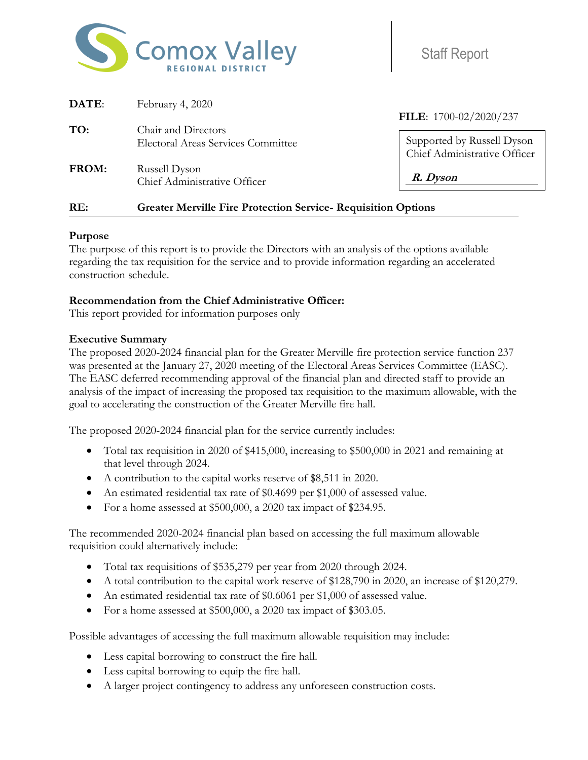

Staff Report

| DATE: | February 4, 2020                                                     |                                                            |
|-------|----------------------------------------------------------------------|------------------------------------------------------------|
| TO:   | Chair and Directors                                                  | FILE: 1700-02/2020/237                                     |
|       | <b>Electoral Areas Services Committee</b>                            | Supported by Russell Dyson<br>Chief Administrative Officer |
| FROM: | Russell Dyson<br>Chief Administrative Officer                        | R. Dyson                                                   |
| RE:   | <b>Greater Merville Fire Protection Service- Requisition Options</b> |                                                            |

### **Purpose**

The purpose of this report is to provide the Directors with an analysis of the options available regarding the tax requisition for the service and to provide information regarding an accelerated construction schedule.

### **Recommendation from the Chief Administrative Officer:**

This report provided for information purposes only

### **Executive Summary**

The proposed 2020-2024 financial plan for the Greater Merville fire protection service function 237 was presented at the January 27, 2020 meeting of the Electoral Areas Services Committee (EASC). The EASC deferred recommending approval of the financial plan and directed staff to provide an analysis of the impact of increasing the proposed tax requisition to the maximum allowable, with the goal to accelerating the construction of the Greater Merville fire hall.

The proposed 2020-2024 financial plan for the service currently includes:

- Total tax requisition in 2020 of \$415,000, increasing to \$500,000 in 2021 and remaining at that level through 2024.
- A contribution to the capital works reserve of \$8,511 in 2020.
- An estimated residential tax rate of \$0.4699 per \$1,000 of assessed value.
- For a home assessed at \$500,000, a 2020 tax impact of \$234.95.

The recommended 2020-2024 financial plan based on accessing the full maximum allowable requisition could alternatively include:

- Total tax requisitions of \$535,279 per year from 2020 through 2024.
- A total contribution to the capital work reserve of \$128,790 in 2020, an increase of \$120,279.
- An estimated residential tax rate of \$0.6061 per \$1,000 of assessed value.
- For a home assessed at \$500,000, a 2020 tax impact of \$303.05.

Possible advantages of accessing the full maximum allowable requisition may include:

- Less capital borrowing to construct the fire hall.
- Less capital borrowing to equip the fire hall.
- A larger project contingency to address any unforeseen construction costs.